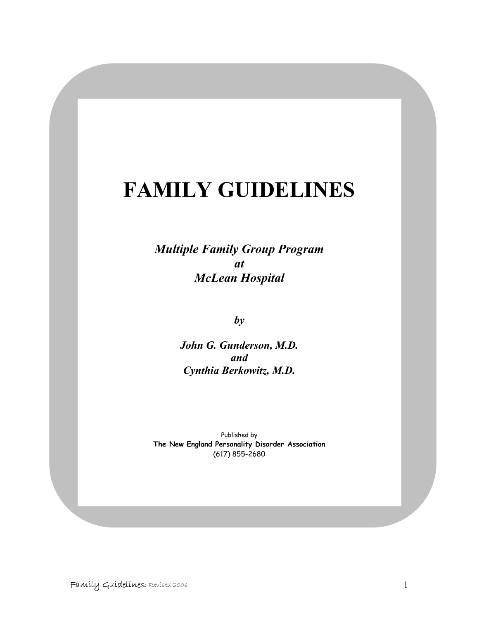# **FAMILY GUIDELINES**

*Multiple Family Group Program at McLean Hospital* 

*by* 

*John G. Gunderson, M.D. and Cynthia Berkowitz, M.D.* 

Published by **The New England Personality Disorder Association**  (617) 855-2680

Family Guidelines: Revised 2006 1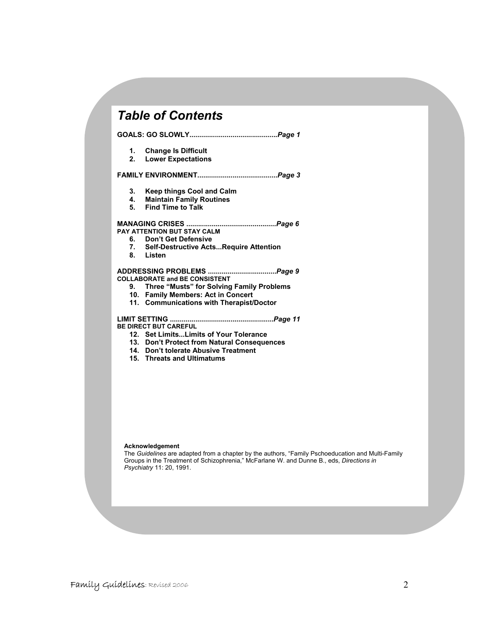#### *Table of Contents*  **GOALS: GO SLOWLY............................................***.Page 1*   **1. Change Is Difficult Lower Expectations FAMILY ENVIRONMENT.........................................***Page 3*   **3. Keep things Cool and Calm 4. Maintain Family Routines 5. Find Time to Talk MANAGING CRISES ...............***...............................Page 6*  **PAY ATTENTION BUT STAY CALM 6. Don't Get Defensive 7. Self-Destructive Acts...Require Attention 8. Listen ADDRESSING PROBLEMS ...................................***Page 9*  **COLLABORATE and BE CONSISTENT 9. Three "Musts" for Solving Family Problems 10. Family Members: Act in Concert 11. Communications with Therapist/Doctor LIMIT SETTING .....................................................***Page 11*  **BE DIRECT BUT CAREFUL 12. Set Limits...Limits of Your Tolerance 13. Don't Protect from Natural Consequences 14. Don't tolerate Abusive Treatment 15. Threats and Ultimatums**

#### **Acknowledgement**

The *Guidelines* are adapted from a chapter by the authors, "Family Pschoeducation and Multi-Family Groups in the Treatment of Schizophrenia," McFarlane W. and Dunne B., eds, *Directions in Psychiatry* 11: 20, 1991.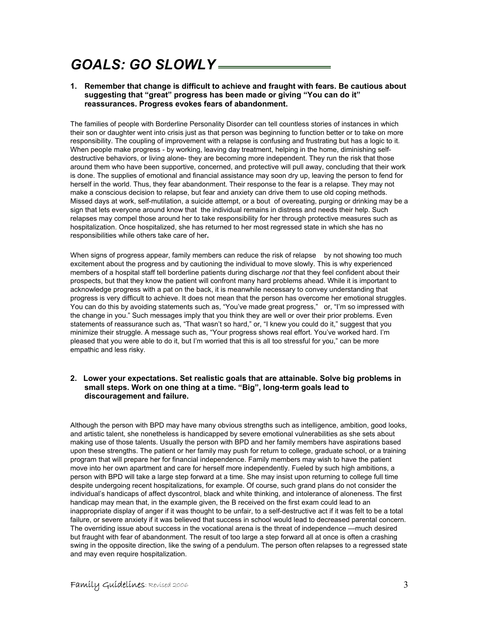# *GOALS: GO SLOWLY*

#### **1. Remember that change is difficult to achieve and fraught with fears. Be cautious about suggesting that "great" progress has been made or giving "You can do it" reassurances. Progress evokes fears of abandonment.**

The families of people with Borderline Personality Disorder can tell countless stories of instances in which their son or daughter went into crisis just as that person was beginning to function better or to take on more responsibility. The coupling of improvement with a relapse is confusing and frustrating but has a logic to it. When people make progress - by working, leaving day treatment, helping in the home, diminishing selfdestructive behaviors, or living alone- they are becoming more independent. They run the risk that those around them who have been supportive, concerned, and protective will pull away, concluding that their work is done. The supplies of emotional and financial assistance may soon dry up, leaving the person to fend for herself in the world. Thus, they fear abandonment. Their response to the fear is a relapse. They may not make a conscious decision to relapse, but fear and anxiety can drive them to use old coping methods. Missed days at work, self-mutilation, a suicide attempt, or a bout of overeating, purging or drinking may be a sign that lets everyone around know that the individual remains in distress and needs their help. Such relapses may compel those around her to take responsibility for her through protective measures such as hospitalization. Once hospitalized, she has returned to her most regressed state in which she has no responsibilities while others take care of her**.** 

When signs of progress appear, family members can reduce the risk of relapse by not showing too much excitement about the progress and by cautioning the individual to move slowly. This is why experienced members of a hospital staff tell borderline patients during discharge *not* that they feel confident about their prospects, but that they know the patient will confront many hard problems ahead. While it is important to acknowledge progress with a pat on the back, it is meanwhile necessary to convey understanding that progress is very difficult to achieve. It does not mean that the person has overcome her emotional struggles. You can do this by avoiding statements such as, "You've made great progress," or, "I'm so impressed with the change in you." Such messages imply that you think they are well or over their prior problems. Even statements of reassurance such as, "That wasn't so hard," or, "I knew you could do it," suggest that you minimize their struggle. A message such as, "Your progress shows real effort. You've worked hard. I'm pleased that you were able to do it, but I'm worried that this is all too stressful for you," can be more empathic and less risky.

#### **2. Lower your expectations. Set realistic goals that are attainable. Solve big problems in small steps. Work on one thing at a time. "Big", long-term goals lead to discouragement and failure.**

Although the person with BPD may have many obvious strengths such as intelligence, ambition, good looks, and artistic talent, she nonetheless is handicapped by severe emotional vulnerabilities as she sets about making use of those talents. Usually the person with BPD and her family members have aspirations based upon these strengths. The patient or her family may push for return to college, graduate school, or a training program that will prepare her for financial independence. Family members may wish to have the patient move into her own apartment and care for herself more independently. Fueled by such high ambitions, a person with BPD will take a large step forward at a time. She may insist upon returning to college full time despite undergoing recent hospitalizations, for example. Of course, such grand plans do not consider the individual's handicaps of affect dyscontrol, black and white thinking, and intolerance of aloneness. The first handicap may mean that, in the example given, the B received on the first exam could lead to an inappropriate display of anger if it was thought to be unfair, to a self-destructive act if it was felt to be a total failure, or severe anxiety if it was believed that success in school would lead to decreased parental concern. The overriding issue about success in the vocational arena is the threat of independence —much desired but fraught with fear of abandonment. The result of too large a step forward all at once is often a crashing swing in the opposite direction, like the swing of a pendulum. The person often relapses to a regressed state and may even require hospitalization.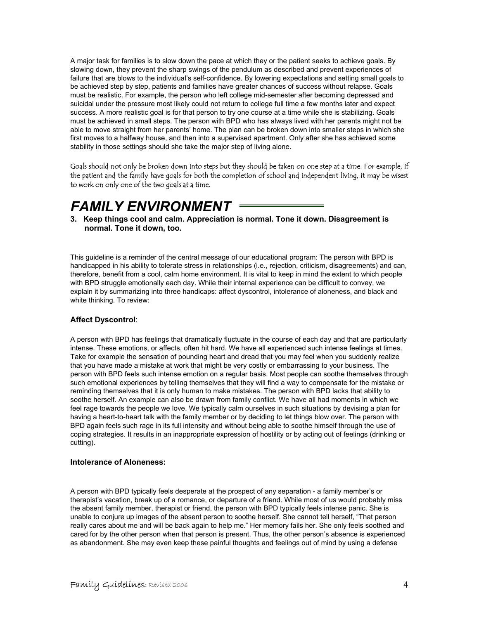A major task for families is to slow down the pace at which they or the patient seeks to achieve goals. By slowing down, they prevent the sharp swings of the pendulum as described and prevent experiences of failure that are blows to the individual's self-confidence. By lowering expectations and setting small goals to be achieved step by step, patients and families have greater chances of success without relapse. Goals must be realistic. For example, the person who left college mid-semester after becoming depressed and suicidal under the pressure most likely could not return to college full time a few months later and expect success. A more realistic goal is for that person to try one course at a time while she is stabilizing. Goals must be achieved in small steps. The person with BPD who has always lived with her parents might not be able to move straight from her parents' home. The plan can be broken down into smaller steps in which she first moves to a halfway house, and then into a supervised apartment. Only after she has achieved some stability in those settings should she take the major step of living alone.

Goals should not only be broken down into steps but they should be taken on one step at a time. For example, if the patient and the family have goals for both the completion of school and independent living, it may be wisest to work on only one of the two goals at a time.

### *FAMILY ENVIRONMENT*

**3. Keep things cool and calm. Appreciation is normal. Tone it down. Disagreement is normal. Tone it down, too.** 

This guideline is a reminder of the central message of our educational program: The person with BPD is handicapped in his ability to tolerate stress in relationships (i.e., rejection, criticism, disagreements) and can, therefore, benefit from a cool, calm home environment. It is vital to keep in mind the extent to which people with BPD struggle emotionally each day. While their internal experience can be difficult to convey, we explain it by summarizing into three handicaps: affect dyscontrol, intolerance of aloneness, and black and white thinking. To review:

#### **Affect Dyscontrol**:

A person with BPD has feelings that dramatically fluctuate in the course of each day and that are particularly intense. These emotions, or affects, often hit hard. We have all experienced such intense feelings at times. Take for example the sensation of pounding heart and dread that you may feel when you suddenly realize that you have made a mistake at work that might be very costly or embarrassing to your business. The person with BPD feels such intense emotion on a regular basis. Most people can soothe themselves through such emotional experiences by telling themselves that they will find a way to compensate for the mistake or reminding themselves that it is only human to make mistakes. The person with BPD lacks that ability to soothe herself. An example can also be drawn from family conflict. We have all had moments in which we feel rage towards the people we love. We typically calm ourselves in such situations by devising a plan for having a heart-to-heart talk with the family member or by deciding to let things blow over. The person with BPD again feels such rage in its full intensity and without being able to soothe himself through the use of coping strategies. It results in an inappropriate expression of hostility or by acting out of feelings (drinking or cutting).

#### **Intolerance of Aloneness:**

A person with BPD typically feels desperate at the prospect of any separation - a family member's or therapist's vacation, break up of a romance, or departure of a friend. While most of us would probably miss the absent family member, therapist or friend, the person with BPD typically feels intense panic. She is unable to conjure up images of the absent person to soothe herself. She cannot tell herself, "That person really cares about me and will be back again to help me." Her memory fails her. She only feels soothed and cared for by the other person when that person is present. Thus, the other person's absence is experienced as abandonment. She may even keep these painful thoughts and feelings out of mind by using a defense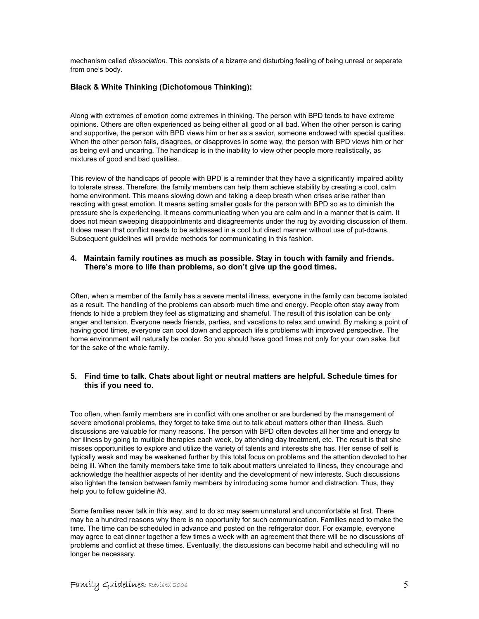mechanism called *dissociation.* This consists of a bizarre and disturbing feeling of being unreal or separate from one's body.

#### **Black & White Thinking (Dichotomous Thinking):**

Along with extremes of emotion come extremes in thinking. The person with BPD tends to have extreme opinions. Others are often experienced as being either all good or all bad. When the other person is caring and supportive, the person with BPD views him or her as a savior, someone endowed with special qualities. When the other person fails, disagrees, or disapproves in some way, the person with BPD views him or her as being evil and uncaring. The handicap is in the inability to view other people more realistically, as mixtures of good and bad qualities.

This review of the handicaps of people with BPD is a reminder that they have a significantly impaired ability to tolerate stress. Therefore, the family members can help them achieve stability by creating a cool, calm home environment. This means slowing down and taking a deep breath when crises arise rather than reacting with great emotion. It means setting smaller goals for the person with BPD so as to diminish the pressure she is experiencing. It means communicating when you are calm and in a manner that is calm. It does not mean sweeping disappointments and disagreements under the rug by avoiding discussion of them. It does mean that conflict needs to be addressed in a cool but direct manner without use of put-downs. Subsequent guidelines will provide methods for communicating in this fashion.

#### **4. Maintain family routines as much as possible. Stay in touch with family and friends. There's more to life than problems, so don't give up the good times.**

Often, when a member of the family has a severe mental illness, everyone in the family can become isolated as a result. The handling of the problems can absorb much time and energy. People often stay away from friends to hide a problem they feel as stigmatizing and shameful. The result of this isolation can be only anger and tension. Everyone needs friends, parties, and vacations to relax and unwind. By making a point of having good times, everyone can cool down and approach life's problems with improved perspective. The home environment will naturally be cooler. So you should have good times not only for your own sake, but for the sake of the whole family.

#### **5***.* **Find time to talk. Chats about light or neutral matters are helpful. Schedule times for this if you need to.**

Too often, when family members are in conflict with one another or are burdened by the management of severe emotional problems, they forget to take time out to talk about matters other than illness. Such discussions are valuable for many reasons. The person with BPD often devotes all her time and energy to her illness by going to multiple therapies each week, by attending day treatment, etc. The result is that she misses opportunities to explore and utilize the variety of talents and interests she has. Her sense of self is typically weak and may be weakened further by this total focus on problems and the attention devoted to her being ill. When the family members take time to talk about matters unrelated to illness, they encourage and acknowledge the healthier aspects of her identity and the development of new interests. Such discussions also lighten the tension between family members by introducing some humor and distraction. Thus, they help you to follow guideline #3.

Some families never talk in this way, and to do so may seem unnatural and uncomfortable at first. There may be a hundred reasons why there is no opportunity for such communication. Families need to make the time. The time can be scheduled in advance and posted on the refrigerator door. For example, everyone may agree to eat dinner together a few times a week with an agreement that there will be no discussions of problems and conflict at these times. Eventually, the discussions can become habit and scheduling will no longer be necessary.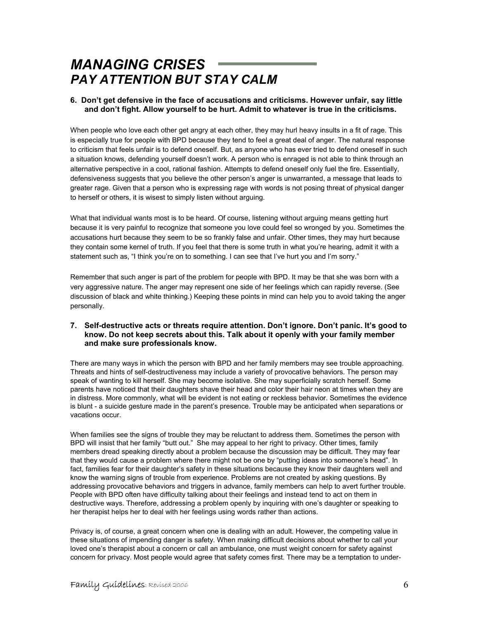# *MANAGING CRISES PAY ATTENTION BUT STAY CALM*

#### **6. Don't get defensive in the face of accusations and criticisms. However unfair, say little and don't fight. Allow yourself to be hurt. Admit to whatever is true in the criticisms.**

When people who love each other get angry at each other, they may hurl heavy insults in a fit of rage. This is especially true for people with BPD because they tend to feel a great deal of anger. The natural response to criticism that feels unfair is to defend oneself. But, as anyone who has ever tried to defend oneself in such a situation knows, defending yourself doesn't work. A person who is enraged is not able to think through an alternative perspective in a cool, rational fashion. Attempts to defend oneself only fuel the fire. Essentially, defensiveness suggests that you believe the other person's anger is unwarranted, a message that leads to greater rage. Given that a person who is expressing rage with words is not posing threat of physical danger to herself or others, it is wisest to simply listen without arguing.

What that individual wants most is to be heard. Of course, listening without arguing means getting hurt because it is very painful to recognize that someone you love could feel so wronged by you. Sometimes the accusations hurt because they seem to be so frankly false and unfair. Other times, they may hurt because they contain some kernel of truth. If you feel that there is some truth in what you're hearing, admit it with a statement such as, "I think you're on to something. I can see that I've hurt you and I'm sorry."

Remember that such anger is part of the problem for people with BPD. It may be that she was born with a very aggressive nature. The anger may represent one side of her feelings which can rapidly reverse. (See discussion of black and white thinking.) Keeping these points in mind can help you to avoid taking the anger personally.

#### **7. Self-destructive acts or threats require attention. Don't ignore. Don't panic. It's good to know. Do not keep secrets about this. Talk about it openly with your family member and make sure professionals know.**

There are many ways in which the person with BPD and her family members may see trouble approaching. Threats and hints of self-destructiveness may include a variety of provocative behaviors. The person may speak of wanting to kill herself. She may become isolative. She may superficially scratch herself. Some parents have noticed that their daughters shave their head and color their hair neon at times when they are in distress. More commonly, what will be evident is not eating or reckless behavior. Sometimes the evidence is blunt - a suicide gesture made in the parent's presence. Trouble may be anticipated when separations or vacations occur.

When families see the signs of trouble they may be reluctant to address them. Sometimes the person with BPD will insist that her family "butt out." She may appeal to her right to privacy. Other times, family members dread speaking directly about a problem because the discussion may be difficult. They may fear that they would cause a problem where there might not be one by "putting ideas into someone's head". In fact, families fear for their daughter's safety in these situations because they know their daughters well and know the warning signs of trouble from experience. Problems are not created by asking questions. By addressing provocative behaviors and triggers in advance, family members can help to avert further trouble. People with BPD often have difficulty talking about their feelings and instead tend to act on them in destructive ways. Therefore, addressing a problem openly by inquiring with one's daughter or speaking to her therapist helps her to deal with her feelings using words rather than actions.

Privacy is, of course, a great concern when one is dealing with an adult. However, the competing value in these situations of impending danger is safety. When making difficult decisions about whether to call your loved one's therapist about a concern or call an ambulance, one must weight concern for safety against concern for privacy. Most people would agree that safety comes first. There may be a temptation to under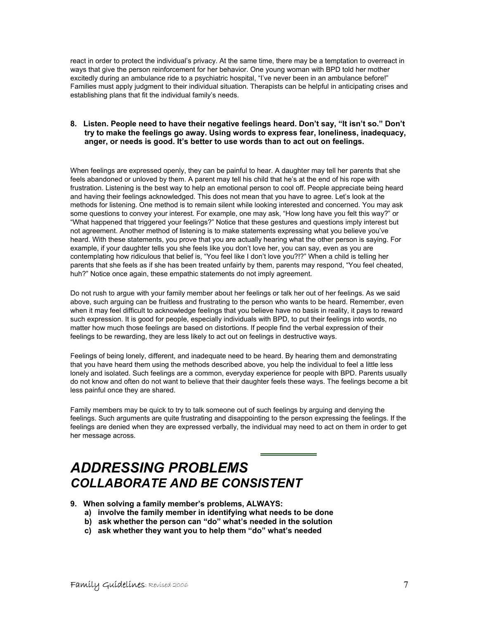react in order to protect the individual's privacy. At the same time, there may be a temptation to overreact in ways that give the person reinforcement for her behavior. One young woman with BPD told her mother excitedly during an ambulance ride to a psychiatric hospital, "I've never been in an ambulance before!" Families must apply judgment to their individual situation. Therapists can be helpful in anticipating crises and establishing plans that fit the individual family's needs.

#### **8. Listen. People need to have their negative feelings heard. Don't say, "It isn't so." Don't try to make the feelings go away. Using words to express fear, loneliness, inadequacy, anger, or needs is good. It's better to use words than to act out on feelings.**

When feelings are expressed openly, they can be painful to hear. A daughter may tell her parents that she feels abandoned or unloved by them. A parent may tell his child that he's at the end of his rope with frustration. Listening is the best way to help an emotional person to cool off. People appreciate being heard and having their feelings acknowledged. This does not mean that you have to agree. Let's look at the methods for listening. One method is to remain silent while looking interested and concerned. You may ask some questions to convey your interest. For example, one may ask, "How long have you felt this way?" or "What happened that triggered your feelings?" Notice that these gestures and questions imply interest but not agreement. Another method of listening is to make statements expressing what you believe you've heard. With these statements, you prove that you are actually hearing what the other person is saying. For example, if your daughter tells you she feels like you don't love her, you can say, even as you are contemplating how ridiculous that belief is, "You feel like I don't love you?!?" When a child is telling her parents that she feels as if she has been treated unfairly by them, parents may respond, "You feel cheated, huh?" Notice once again, these empathic statements do not imply agreement.

Do not rush to argue with your family member about her feelings or talk her out of her feelings. As we said above, such arguing can be fruitless and frustrating to the person who wants to be heard. Remember, even when it may feel difficult to acknowledge feelings that you believe have no basis in reality, it pays to reward such expression. It is good for people, especially individuals with BPD, to put their feelings into words, no matter how much those feelings are based on distortions. If people find the verbal expression of their feelings to be rewarding, they are less likely to act out on feelings in destructive ways.

Feelings of being lonely, different, and inadequate need to be heard. By hearing them and demonstrating that you have heard them using the methods described above, you help the individual to feel a little less lonely and isolated. Such feelings are a common, everyday experience for people with BPD. Parents usually do not know and often do not want to believe that their daughter feels these ways. The feelings become a bit less painful once they are shared.

Family members may be quick to try to talk someone out of such feelings by arguing and denying the feelings. Such arguments are quite frustrating and disappointing to the person expressing the feelings. If the feelings are denied when they are expressed verbally, the individual may need to act on them in order to get her message across.

## *ADDRESSING PROBLEMS COLLABORATE AND BE CONSISTENT*

- **9. When solving a family member's problems, ALWAYS:** 
	- **a) involve the family member in identifying what needs to be done**
	- **b) ask whether the person can "do" what's needed in the solution**
	- **c) ask whether they want you to help them "do" what's needed**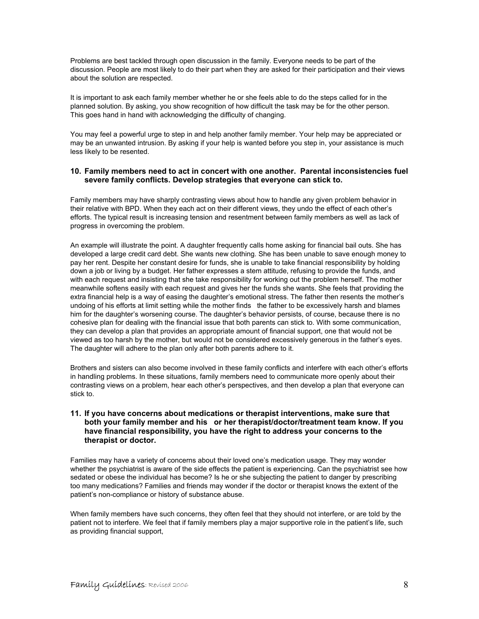Problems are best tackled through open discussion in the family. Everyone needs to be part of the discussion. People are most likely to do their part when they are asked for their participation and their views about the solution are respected.

It is important to ask each family member whether he or she feels able to do the steps called for in the planned solution. By asking, you show recognition of how difficult the task may be for the other person. This goes hand in hand with acknowledging the difficulty of changing.

You may feel a powerful urge to step in and help another family member. Your help may be appreciated or may be an unwanted intrusion. By asking if your help is wanted before you step in, your assistance is much less likely to be resented.

#### **10. Family members need to act in concert with one another. Parental inconsistencies fuel severe family conflicts. Develop strategies that everyone can stick to.**

Family members may have sharply contrasting views about how to handle any given problem behavior in their relative with BPD. When they each act on their different views, they undo the effect of each other's efforts. The typical result is increasing tension and resentment between family members as well as lack of progress in overcoming the problem.

An example will illustrate the point. A daughter frequently calls home asking for financial bail outs. She has developed a large credit card debt. She wants new clothing. She has been unable to save enough money to pay her rent. Despite her constant desire for funds, she is unable to take financial responsibility by holding down a job or living by a budget. Her father expresses a stem attitude, refusing to provide the funds, and with each request and insisting that she take responsibility for working out the problem herself. The mother meanwhile softens easily with each request and gives her the funds she wants. She feels that providing the extra financial help is a way of easing the daughter's emotional stress. The father then resents the mother's undoing of his efforts at limit setting while the mother finds the father to be excessively harsh and blames him for the daughter's worsening course. The daughter's behavior persists, of course, because there is no cohesive plan for dealing with the financial issue that both parents can stick to. With some communication, they can develop a plan that provides an appropriate amount of financial support, one that would not be viewed as too harsh by the mother, but would not be considered excessively generous in the father's eyes. The daughter will adhere to the plan only after both parents adhere to it.

Brothers and sisters can also become involved in these family conflicts and interfere with each other's efforts in handling problems. In these situations, family members need to communicate more openly about their contrasting views on a problem, hear each other's perspectives, and then develop a plan that everyone can stick to.

#### **11. If you have concerns about medications or therapist interventions, make sure that both your family member and his or her therapist/doctor/treatment team know. If you have financial responsibility, you have the right to address your concerns to the therapist or doctor.**

Families may have a variety of concerns about their loved one's medication usage. They may wonder whether the psychiatrist is aware of the side effects the patient is experiencing. Can the psychiatrist see how sedated or obese the individual has become? Is he or she subjecting the patient to danger by prescribing too many medications? Families and friends may wonder if the doctor or therapist knows the extent of the patient's non-compliance or history of substance abuse.

When family members have such concerns, they often feel that they should not interfere, or are told by the patient not to interfere. We feel that if family members play a major supportive role in the patient's life, such as providing financial support,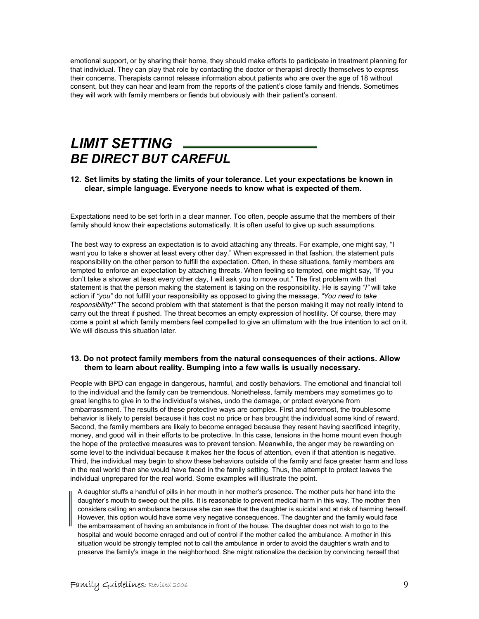emotional support, or by sharing their home, they should make efforts to participate in treatment planning for that individual. They can play that role by contacting the doctor or therapist directly themselves to express their concerns. Therapists cannot release information about patients who are over the age of 18 without consent, but they can hear and learn from the reports of the patient's close family and friends. Sometimes they will work with family members or fiends but obviously with their patient's consent.

### *LIMIT SETTING BE DIRECT BUT CAREFUL*

#### **12. Set limits by stating the limits of your tolerance. Let your expectations be known in clear, simple language. Everyone needs to know what is expected of them.**

Expectations need to be set forth in a clear manner. Too often, people assume that the members of their family should know their expectations automatically. It is often useful to give up such assumptions.

The best way to express an expectation is to avoid attaching any threats. For example, one might say, "I want you to take a shower at least every other day." When expressed in that fashion, the statement puts responsibility on the other person to fulfill the expectation. Often, in these situations, family members are tempted to enforce an expectation by attaching threats. When feeling so tempted, one might say, "If you don't take a shower at least every other day, I will ask you to move out." The first problem with that statement is that the person making the statement is taking on the responsibility. He is saying *"I"* will take action if *"you"* do not fulfill your responsibility as opposed to giving the message, *"You need to take responsibility!"* The second problem with that statement is that the person making it may not really intend to carry out the threat if pushed. The threat becomes an empty expression of hostility. Of course, there may come a point at which family members feel compelled to give an ultimatum with the true intention to act on it. We will discuss this situation later.

#### **13. Do not protect family members from the natural consequences of their actions. Allow them to learn about reality. Bumping into a few walls is usually necessary.**

People with BPD can engage in dangerous, harmful, and costly behaviors. The emotional and financial toll to the individual and the family can be tremendous. Nonetheless, family members may sometimes go to great lengths to give in to the individual's wishes, undo the damage, or protect everyone from embarrassment. The results of these protective ways are complex. First and foremost, the troublesome behavior is likely to persist because it has cost no price or has brought the individual some kind of reward. Second, the family members are likely to become enraged because they resent having sacrificed integrity, money, and good will in their efforts to be protective. In this case, tensions in the home mount even though the hope of the protective measures was to prevent tension. Meanwhile, the anger may be rewarding on some level to the individual because it makes her the focus of attention, even if that attention is negative. Third, the individual may begin to show these behaviors outside of the family and face greater harm and loss in the real world than she would have faced in the family setting. Thus, the attempt to protect leaves the individual unprepared for the real world. Some examples will illustrate the point.

A daughter stuffs a handful of pills in her mouth in her mother's presence. The mother puts her hand into the daughter's mouth to sweep out the pills. It is reasonable to prevent medical harm in this way. The mother then considers calling an ambulance because she can see that the daughter is suicidal and at risk of harming herself. However, this option would have some very negative consequences. The daughter and the family would face the embarrassment of having an ambulance in front of the house. The daughter does not wish to go to the hospital and would become enraged and out of control if the mother called the ambulance. A mother in this situation would be strongly tempted not to call the ambulance in order to avoid the daughter's wrath and to preserve the family's image in the neighborhood. She might rationalize the decision by convincing herself that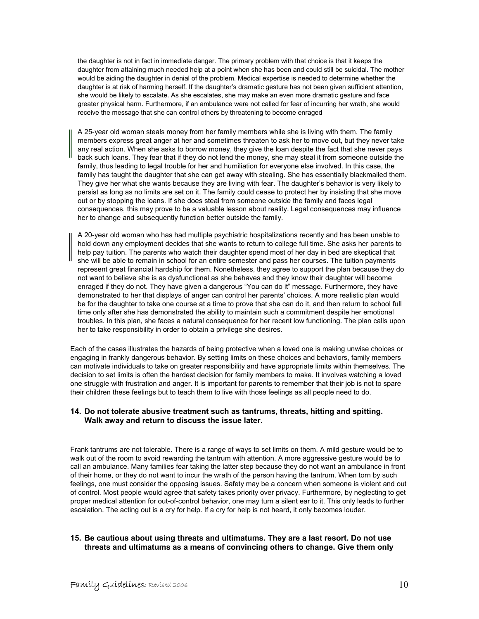the daughter is not in fact in immediate danger. The primary problem with that choice is that it keeps the daughter from attaining much needed help at a point when she has been and could still be suicidal. The mother would be aiding the daughter in denial of the problem. Medical expertise is needed to determine whether the daughter is at risk of harming herself. If the daughter's dramatic gesture has not been given sufficient attention, she would be likely to escalate. As she escalates, she may make an even more dramatic gesture and face greater physical harm. Furthermore, if an ambulance were not called for fear of incurring her wrath, she would receive the message that she can control others by threatening to become enraged

A 25-year old woman steals money from her family members while she is living with them. The family members express great anger at her and sometimes threaten to ask her to move out, but they never take any real action. When she asks to borrow money, they give the loan despite the fact that she never pays back such loans. They fear that if they do not lend the money, she may steal it from someone outside the family, thus leading to legal trouble for her and humiliation for everyone else involved. In this case, the family has taught the daughter that she can get away with stealing. She has essentially blackmailed them. They give her what she wants because they are living with fear. The daughter's behavior is very likely to persist as long as no limits are set on it. The family could cease to protect her by insisting that she move out or by stopping the loans. If she does steal from someone outside the family and faces legal consequences, this may prove to be a valuable lesson about reality. Legal consequences may influence her to change and subsequently function better outside the family.

A 20-year old woman who has had multiple psychiatric hospitalizations recently and has been unable to hold down any employment decides that she wants to return to college full time. She asks her parents to help pay tuition. The parents who watch their daughter spend most of her day in bed are skeptical that she will be able to remain in school for an entire semester and pass her courses. The tuition payments represent great financial hardship for them. Nonetheless, they agree to support the plan because they do not want to believe she is as dysfunctional as she behaves and they know their daughter will become enraged if they do not. They have given a dangerous "You can do it" message. Furthermore, they have demonstrated to her that displays of anger can control her parents' choices. A more realistic plan would be for the daughter to take one course at a time to prove that she can do it, and then return to school full time only after she has demonstrated the ability to maintain such a commitment despite her emotional troubles. In this plan, she faces a natural consequence for her recent low functioning. The plan calls upon her to take responsibility in order to obtain a privilege she desires.

Each of the cases illustrates the hazards of being protective when a loved one is making unwise choices or engaging in frankly dangerous behavior. By setting limits on these choices and behaviors, family members can motivate individuals to take on greater responsibility and have appropriate limits within themselves. The decision to set limits is often the hardest decision for family members to make. It involves watching a loved one struggle with frustration and anger. It is important for parents to remember that their job is not to spare their children these feelings but to teach them to live with those feelings as all people need to do.

#### **14. Do not tolerate abusive treatment such as tantrums, threats, hitting and spitting. Walk away and return to discuss the issue later.**

Frank tantrums are not tolerable. There is a range of ways to set limits on them. A mild gesture would be to walk out of the room to avoid rewarding the tantrum with attention. A more aggressive gesture would be to call an ambulance. Many families fear taking the latter step because they do not want an ambulance in front of their home, or they do not want to incur the wrath of the person having the tantrum. When torn by such feelings, one must consider the opposing issues. Safety may be a concern when someone is violent and out of control. Most people would agree that safety takes priority over privacy. Furthermore, by neglecting to get proper medical attention for out-of-control behavior, one may turn a silent ear to it. This only leads to further escalation. The acting out is a cry for help. If a cry for help is not heard, it only becomes louder.

#### **15. Be cautious about using threats and ultimatums. They are a last resort. Do not use threats and ultimatums as a means of convincing others to change. Give them only**